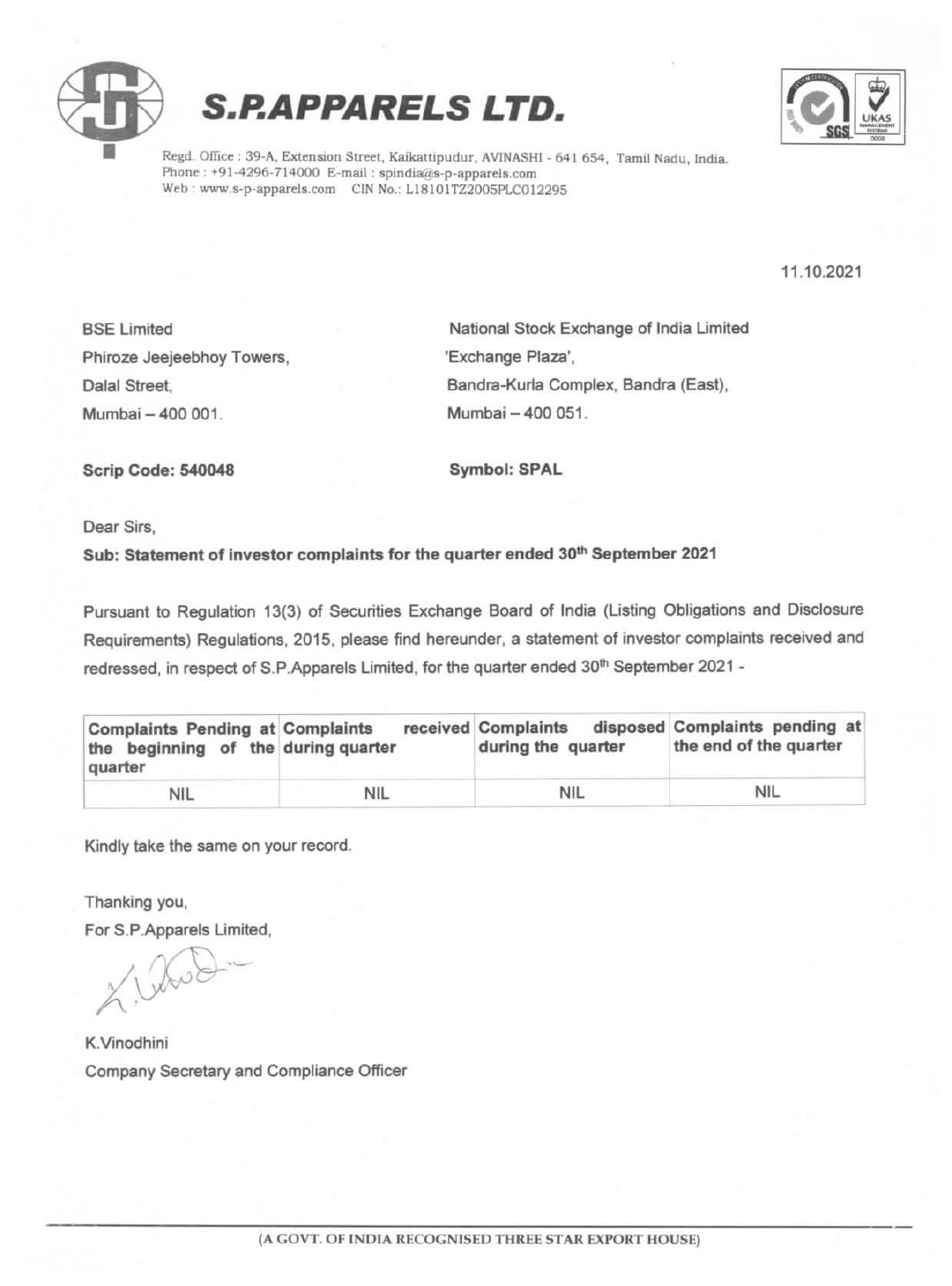





Regd. Office : 39-A, Extension Street, Kaikattipudur, AVINASHI - 641 654, Tamil Nadu, India. Phone : +91-4296-714000 E-mail : spindia@s-p-apparels.com Web : www.s-p-apparels.com CIN No.: L18101TZ2005PLC012295

11.10.2021

Phiroze Jeejeebhoy Towers, The Million of Exchange Plaza', Mumbai 400 001. Mumbai -400 051.

BSE Limited National Stock Exchange of India Limited Dalal Street, Bandra-Kurla Complex, Bandra (East),

Scrip Code: 540048 Symbol: SPAL

Dear Sirs,

## Sub: Statement of investor complaints for the quarter ended 30<sup>th</sup> September 2021

Pursuant to Regulation 13(3) of Securities Exchange Board of India (Listing Obligations and Disclosure Requirements) Regulations, 2015, please find hereunder, a statement of investor complaints received and redressed, in respect of S.P.Apparels Limited, for the quarter ended 30<sup>th</sup> September 2021 -

| <b>Complaints Pending at Complaints</b><br>the beginning of the during quarter<br>quarter |            | received Complaints<br>during the quarter | disposed Complaints pending at<br>the end of the quarter |
|-------------------------------------------------------------------------------------------|------------|-------------------------------------------|----------------------------------------------------------|
| <b>NIL</b>                                                                                | <b>NIL</b> | NIL                                       | <b>NIL</b>                                               |

Kindly take the same on your record.

Thanking you,

For S.P.Apparels Limited,

K.Vinodhini Company Secretary and Compliance Officer